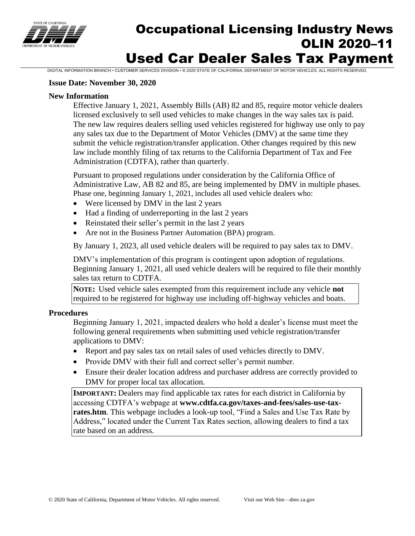

# Occupational Licensing Industry News OLIN 2020–11 Used Car Dealer Sales Tax Payment

DIGITAL INFORMATION BRANCH • CUSTOMER SERVICES DIVISION • © 2020 STATE OF CALIFORNIA, DEPARTMENT OF MOTOR VEHICLES. ALL RIGHTS RESERVED.

#### **Issue Date: November 30, 2020**

#### **New Information**

Effective January 1, 2021, Assembly Bills (AB) 82 and 85, require motor vehicle dealers licensed exclusively to sell used vehicles to make changes in the way sales tax is paid. The new law requires dealers selling used vehicles registered for highway use only to pay any sales tax due to the Department of Motor Vehicles (DMV) at the same time they submit the vehicle registration/transfer application. Other changes required by this new law include monthly filing of tax returns to the California Department of Tax and Fee Administration (CDTFA), rather than quarterly.

Pursuant to proposed regulations under consideration by the California Office of Administrative Law, AB 82 and 85, are being implemented by DMV in multiple phases. Phase one, beginning January 1, 2021, includes all used vehicle dealers who:

- Were licensed by DMV in the last 2 years
- Had a finding of underreporting in the last 2 years
- Reinstated their seller's permit in the last 2 years
- Are not in the Business Partner Automation (BPA) program.

By January 1, 2023, all used vehicle dealers will be required to pay sales tax to DMV.

DMV's implementation of this program is contingent upon adoption of regulations. Beginning January 1, 2021, all used vehicle dealers will be required to file their monthly sales tax return to CDTFA.

**NOTE:** Used vehicle sales exempted from this requirement include any vehicle **not** required to be registered for highway use including off-highway vehicles and boats.

## **Procedures**

Beginning January 1, 2021, impacted dealers who hold a dealer's license must meet the following general requirements when submitting used vehicle registration/transfer applications to DMV:

- Report and pay sales tax on retail sales of used vehicles directly to DMV.
- Provide DMV with their full and correct seller's permit number.
- Ensure their dealer location address and purchaser address are correctly provided to DMV for proper local tax allocation.

**IMPORTANT:** Dealers may find applicable tax rates for each district in California by accessing CDTFA's webpage at **www.cdtfa.ca.gov/taxes-and-fees/sales-use-taxrates.htm**. This webpage includes a look-up tool, "Find a Sales and Use Tax Rate by Address," located under the Current Tax Rates section, allowing dealers to find a tax rate based on an address.